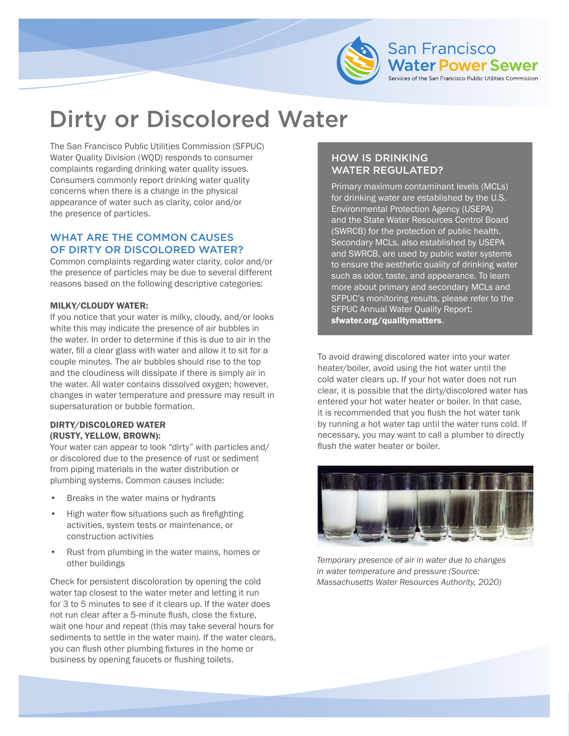

# Dirty or Discolored Water

The San Francisco Public Utilities Commission (SFPUC) Water Quality Division (WQD) responds to consumer complaints regarding drinking water quality issues. Consumers commonly report drinking water quality concerns when there is a change in the physical appearance of water such as clarity, color and/or the presence of particles.

# WHAT ARE THE COMMON CAUSES OF DIRTY OR DISCOLORED WATER?

Common complaints regarding water clarity, color and/or the presence of particles may be due to several different reasons based on the following descriptive categories:

### MILKY/CLOUDY WATER:

If you notice that your water is milky, cloudy, and/or looks white this may indicate the presence of air bubbles in the water. In order to determine if this is due to air in the water, fill a clear glass with water and allow it to sit for a couple minutes. The air bubbles should rise to the top and the cloudiness will dissipate if there is simply air in the water. All water contains dissolved oxygen; however, changes in water temperature and pressure may result in supersaturation or bubble formation.

### DIRTY/DISCOLORED WATER (RUSTY, YELLOW, BROWN):

Your water can appear to look "dirty" with particles and/ or discolored due to the presence of rust or sediment from piping materials in the water distribution or plumbing systems. Common causes include:

- Breaks in the water mains or hydrants
- High water flow situations such as firefighting activities, system tests or maintenance, or construction activities
- Rust from plumbing in the water mains, homes or other buildings

Check for persistent discoloration by opening the cold *Massachusetts Water Resources Authority, 2020)* water tap closest to the water meter and letting it run for 3 to 5 minutes to see if it clears up. If the water does not run clear after a 5-minute flush, close the fixture, wait one hour and repeat (this may take several hours for sediments to settle in the water main). If the water clears, you can flush other plumbing fixtures in the home or business by opening faucets or flushing toilets.

# HOW IS DRINKING WATER REGULATED?

Primary maximum contaminant levels (MCLs) for drinking water are established by the U.S. Environmental Protection Agency (USEPA) and the State Water Resources Control Board (SWRCB) for the protection of public health. Secondary MCLs, also established by USEPA and SWRCB, are used by public water systems to ensure the aesthetic quality of drinking water such as odor, taste, and appearance. To learn more about primary and secondary MCLs and SFPUC's monitoring results, please refer to the SFPUC Annual Water Quality Report: [sfwater.org/qualitymatters](www.sfwater.org/qualitymatters).

To avoid drawing discolored water into your water heater/boiler, avoid using the hot water until the cold water clears up. If your hot water does not run clear, it is possible that the dirty/discolored water has entered your hot water heater or boiler. In that case, it is recommended that you flush the hot water tank by running a hot water tap until the water runs cold. If necessary, you may want to call a plumber to directly flush the water heater or boiler.



*Temporary presence of air in water due to changes in water temperature and pressure (Source:*